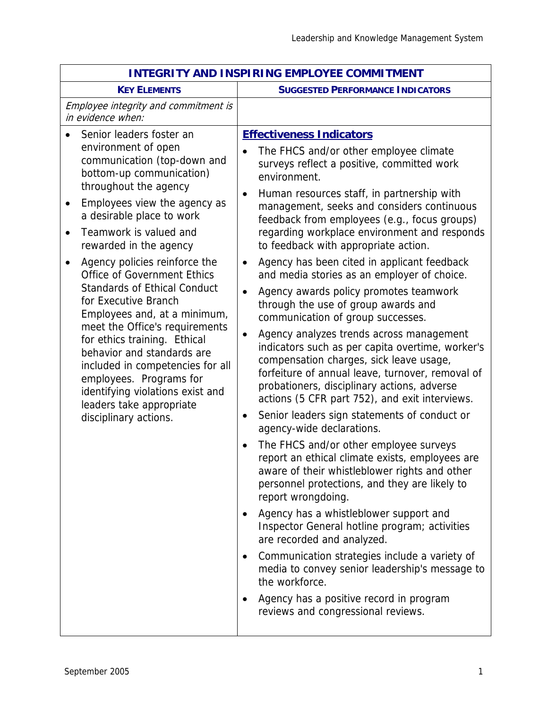| <b>INTEGRITY AND INSPIRING EMPLOYEE COMMITMENT</b>                                                                                                                                                                                                                                                                                                                                                                                                                                                                                                                                                                                                                                                                                     |                                                                                                                                                                                                                                                                                                                                                                                                                                                                                                                                                                                                                                                                                                                                                                                                                                                                                                                                                                                                                                                                                                                                                                                                                                                                                                                                                                                                                                                                                                                                                                         |
|----------------------------------------------------------------------------------------------------------------------------------------------------------------------------------------------------------------------------------------------------------------------------------------------------------------------------------------------------------------------------------------------------------------------------------------------------------------------------------------------------------------------------------------------------------------------------------------------------------------------------------------------------------------------------------------------------------------------------------------|-------------------------------------------------------------------------------------------------------------------------------------------------------------------------------------------------------------------------------------------------------------------------------------------------------------------------------------------------------------------------------------------------------------------------------------------------------------------------------------------------------------------------------------------------------------------------------------------------------------------------------------------------------------------------------------------------------------------------------------------------------------------------------------------------------------------------------------------------------------------------------------------------------------------------------------------------------------------------------------------------------------------------------------------------------------------------------------------------------------------------------------------------------------------------------------------------------------------------------------------------------------------------------------------------------------------------------------------------------------------------------------------------------------------------------------------------------------------------------------------------------------------------------------------------------------------------|
| <b>KEY ELEMENTS</b>                                                                                                                                                                                                                                                                                                                                                                                                                                                                                                                                                                                                                                                                                                                    | <b>SUGGESTED PERFORMANCE INDICATORS</b>                                                                                                                                                                                                                                                                                                                                                                                                                                                                                                                                                                                                                                                                                                                                                                                                                                                                                                                                                                                                                                                                                                                                                                                                                                                                                                                                                                                                                                                                                                                                 |
| Employee integrity and commitment is<br>in evidence when:                                                                                                                                                                                                                                                                                                                                                                                                                                                                                                                                                                                                                                                                              |                                                                                                                                                                                                                                                                                                                                                                                                                                                                                                                                                                                                                                                                                                                                                                                                                                                                                                                                                                                                                                                                                                                                                                                                                                                                                                                                                                                                                                                                                                                                                                         |
| Senior leaders foster an<br>$\bullet$<br>environment of open<br>communication (top-down and<br>bottom-up communication)<br>throughout the agency<br>Employees view the agency as<br>$\bullet$<br>a desirable place to work<br>Teamwork is valued and<br>$\bullet$<br>rewarded in the agency<br>Agency policies reinforce the<br>$\bullet$<br><b>Office of Government Ethics</b><br><b>Standards of Ethical Conduct</b><br>for Executive Branch<br>Employees and, at a minimum,<br>meet the Office's requirements<br>for ethics training. Ethical<br>behavior and standards are<br>included in competencies for all<br>employees. Programs for<br>identifying violations exist and<br>leaders take appropriate<br>disciplinary actions. | <b>Effectiveness Indicators</b><br>The FHCS and/or other employee climate<br>surveys reflect a positive, committed work<br>environment.<br>Human resources staff, in partnership with<br>$\bullet$<br>management, seeks and considers continuous<br>feedback from employees (e.g., focus groups)<br>regarding workplace environment and responds<br>to feedback with appropriate action.<br>Agency has been cited in applicant feedback<br>$\bullet$<br>and media stories as an employer of choice.<br>Agency awards policy promotes teamwork<br>through the use of group awards and<br>communication of group successes.<br>Agency analyzes trends across management<br>$\bullet$<br>indicators such as per capita overtime, worker's<br>compensation charges, sick leave usage,<br>forfeiture of annual leave, turnover, removal of<br>probationers, disciplinary actions, adverse<br>actions (5 CFR part 752), and exit interviews.<br>Senior leaders sign statements of conduct or<br>agency-wide declarations.<br>The FHCS and/or other employee surveys<br>report an ethical climate exists, employees are<br>aware of their whistleblower rights and other<br>personnel protections, and they are likely to<br>report wrongdoing.<br>Agency has a whistleblower support and<br>Inspector General hotline program; activities<br>are recorded and analyzed.<br>Communication strategies include a variety of<br>media to convey senior leadership's message to<br>the workforce.<br>Agency has a positive record in program<br>reviews and congressional reviews. |